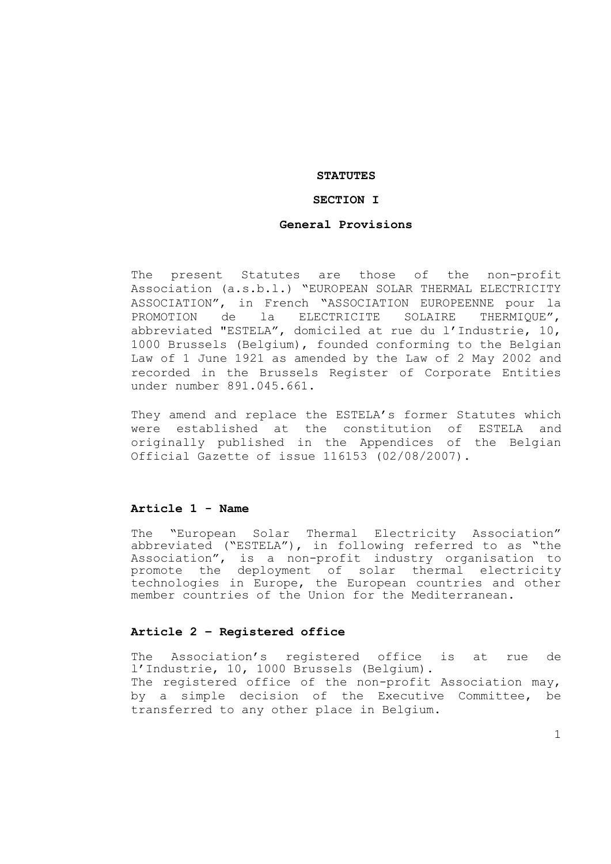## **STATUTES**

## **SECTION I**

#### **General Provisions**

The present Statutes are those of the non-profit Association (a.s.b.l.) "EUROPEAN SOLAR THERMAL ELECTRICITY ASSOCIATION", in French "ASSOCIATION EUROPEENNE pour la PROMOTION de la ELECTRICITE SOLAIRE THERMIQUE", abbreviated "ESTELA", domiciled at rue du l'Industrie, 10, 1000 Brussels (Belgium), founded conforming to the Belgian Law of 1 June 1921 as amended by the Law of 2 May 2002 and recorded in the Brussels Register of Corporate Entities under number 891.045.661.

They amend and replace the ESTELA's former Statutes which were established at the constitution of ESTELA and originally published in the Appendices of the Belgian Official Gazette of issue 116153 (02/08/2007).

#### **Article 1 - Name**

The "European Solar Thermal Electricity Association" abbreviated ("ESTELA"), in following referred to as "the Association", is a non-profit industry organisation to promote the deployment of solar thermal electricity technologies in Europe, the European countries and other member countries of the Union for the Mediterranean.

#### **Article 2 – Registered office**

The Association's registered office is at rue de l'Industrie, 10, 1000 Brussels (Belgium).

The registered office of the non-profit Association may, by a simple decision of the Executive Committee, be transferred to any other place in Belgium.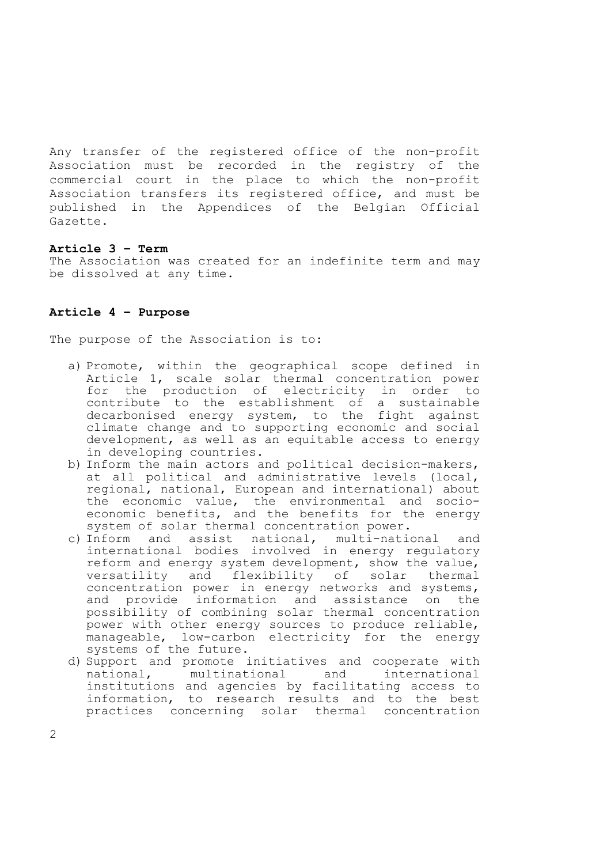Any transfer of the registered office of the non-profit Association must be recorded in the registry of the commercial court in the place to which the non-profit Association transfers its registered office, and must be published in the Appendices of the Belgian Official Gazette.

#### **Article 3 – Term**

The Association was created for an indefinite term and may be dissolved at any time.

## **Article 4 – Purpose**

The purpose of the Association is to:

- a) Promote, within the geographical scope defined in Article 1, scale solar thermal concentration power for the production of electricity in order to contribute to the establishment of a sustainable decarbonised energy system, to the fight against climate change and to supporting economic and social development, as well as an equitable access to energy in developing countries.
- b) Inform the main actors and political decision-makers, at all political and administrative levels (local, regional, national, European and international) about the economic value, the environmental and socioeconomic benefits, and the benefits for the energy system of solar thermal concentration power.
- c) Inform and assist national, multi-national and international bodies involved in energy regulatory reform and energy system development, show the value, versatility and flexibility of solar thermal concentration power in energy networks and systems, and provide information and assistance on the possibility of combining solar thermal concentration power with other energy sources to produce reliable, manageable, low-carbon electricity for the energy systems of the future.
- d) Support and promote initiatives and cooperate with national, multinational and international institutions and agencies by facilitating access to information, to research results and to the best practices concerning solar thermal concentration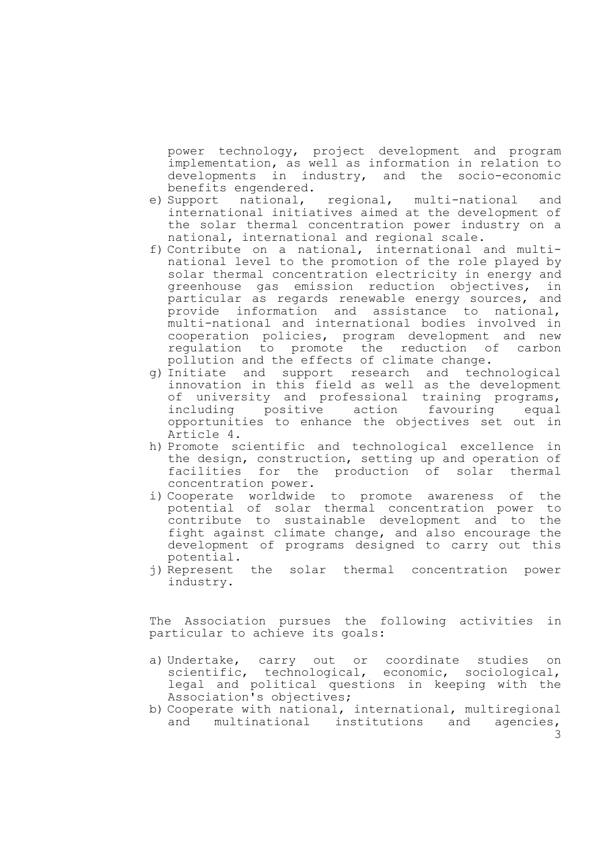power technology, project development and program implementation, as well as information in relation to developments in industry, and the socio-economic benefits engendered.

- e) Support national, regional, multi-national and international initiatives aimed at the development of the solar thermal concentration power industry on a national, international and regional scale.
- f) Contribute on a national, international and multinational level to the promotion of the role played by solar thermal concentration electricity in energy and greenhouse gas emission reduction objectives, in particular as regards renewable energy sources, and provide information and assistance to national, multi-national and international bodies involved in cooperation policies, program development and new regulation to promote the reduction of carbon pollution and the effects of climate change.
- g) Initiate and support research and technological innovation in this field as well as the development of university and professional training programs, including positive action favouring equal opportunities to enhance the objectives set out in Article 4.
- h) Promote scientific and technological excellence in the design, construction, setting up and operation of facilities for the production of solar thermal concentration power.
- i) Cooperate worldwide to promote awareness of the potential of solar thermal concentration power to contribute to sustainable development and to the fight against climate change, and also encourage the development of programs designed to carry out this potential.
- j) Represent the solar thermal concentration power industry.

The Association pursues the following activities in particular to achieve its goals:

- a) Undertake, carry out or coordinate studies on scientific, technological, economic, sociological, legal and political questions in keeping with the Association's objectives;
- 3 b) Cooperate with national, international, multiregional and multinational institutions and agencies,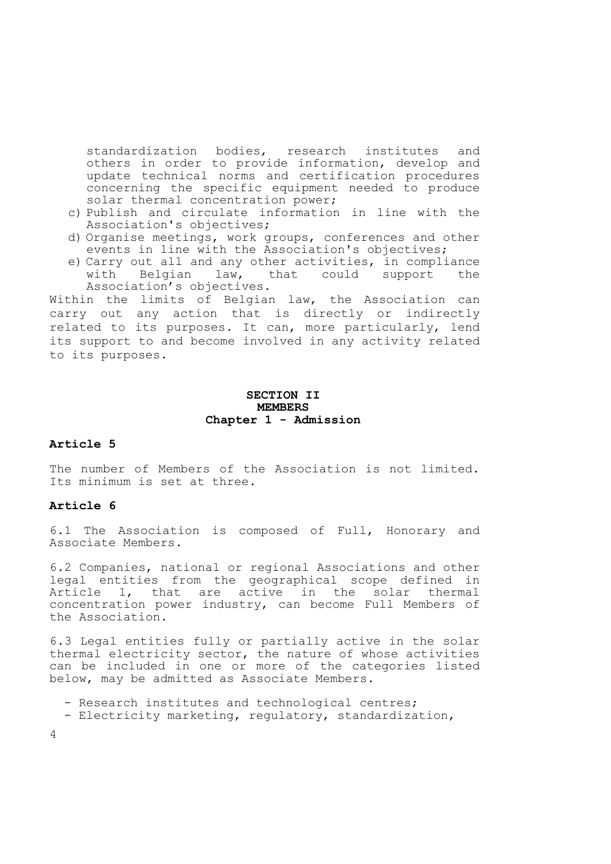standardization bodies, research institutes and others in order to provide information, develop and update technical norms and certification procedures concerning the specific equipment needed to produce solar thermal concentration power;

- c) Publish and circulate information in line with the Association's objectives;
- d) Organise meetings, work groups, conferences and other events in line with the Association's objectives;
- e) Carry out all and any other activities, in compliance with Belgian law, that could support the Association's objectives.

Within the limits of Belgian law, the Association can carry out any action that is directly or indirectly related to its purposes. It can, more particularly, lend its support to and become involved in any activity related to its purposes.

# **SECTION II MEMBERS Chapter 1 - Admission**

# **Article 5**

The number of Members of the Association is not limited. Its minimum is set at three.

## **Article 6**

6.1 The Association is composed of Full, Honorary and Associate Members.

6.2 Companies, national or regional Associations and other legal entities from the geographical scope defined in Article 1, that are active in the solar thermal concentration power industry, can become Full Members of the Association.

6.3 Legal entities fully or partially active in the solar thermal electricity sector, the nature of whose activities can be included in one or more of the categories listed below, may be admitted as Associate Members.

- Research institutes and technological centres;
- Electricity marketing, regulatory, standardization,

4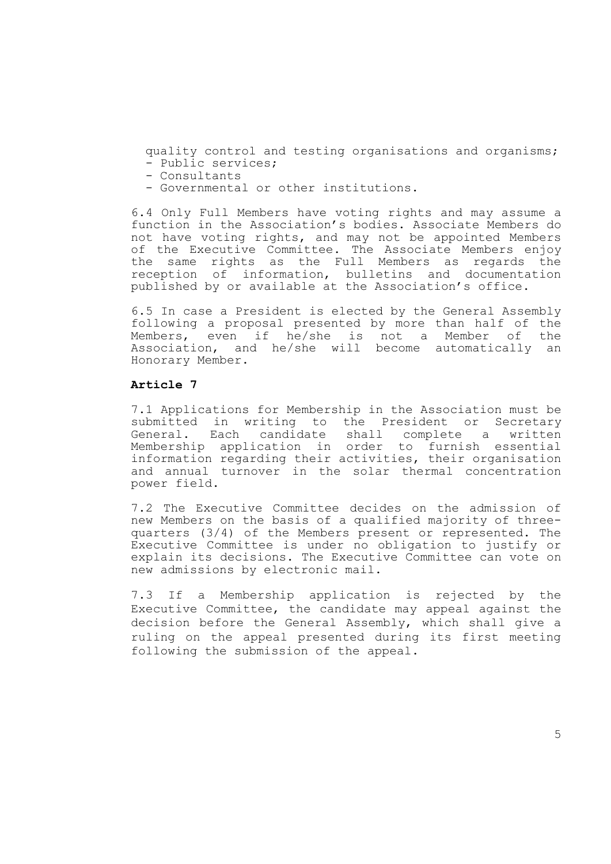quality control and testing organisations and organisms; - Public services;

- Consultants
- Governmental or other institutions.

6.4 Only Full Members have voting rights and may assume a function in the Association's bodies. Associate Members do not have voting rights, and may not be appointed Members of the Executive Committee. The Associate Members enjoy the same rights as the Full Members as regards the reception of information, bulletins and documentation published by or available at the Association's office.

6.5 In case a President is elected by the General Assembly following a proposal presented by more than half of the Members, even if he/she is not a Member of the Association, and he/she will become automatically an Honorary Member.

## **Article 7**

7.1 Applications for Membership in the Association must be submitted in writing to the President or Secretary General. Each candidate shall complete a written Membership application in order to furnish essential information regarding their activities, their organisation and annual turnover in the solar thermal concentration power field.

7.2 The Executive Committee decides on the admission of new Members on the basis of a qualified majority of threequarters (3/4) of the Members present or represented. The Executive Committee is under no obligation to justify or explain its decisions. The Executive Committee can vote on new admissions by electronic mail.

7.3 If a Membership application is rejected by the Executive Committee, the candidate may appeal against the decision before the General Assembly, which shall give a ruling on the appeal presented during its first meeting following the submission of the appeal.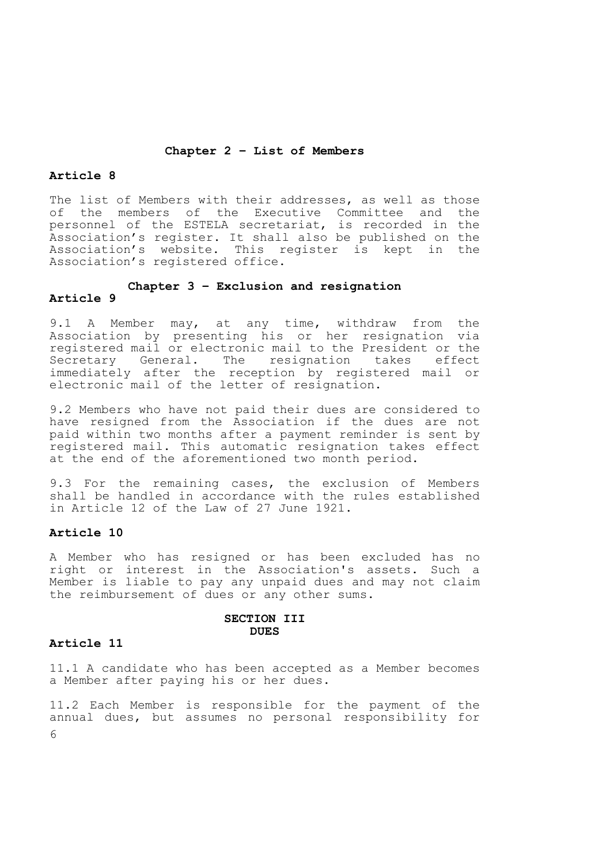# **Chapter 2 – List of Members**

# **Article 8**

The list of Members with their addresses, as well as those of the members of the Executive Committee and the personnel of the ESTELA secretariat, is recorded in the Association's register. It shall also be published on the Association's website. This register is kept in the Association's registered office.

# **Chapter 3 – Exclusion and resignation**

# **Article 9**

9.1 A Member may, at any time, withdraw from the Association by presenting his or her resignation via registered mail or electronic mail to the President or the Secretary General. The resignation takes effect immediately after the reception by registered mail or electronic mail of the letter of resignation.

9.2 Members who have not paid their dues are considered to have resigned from the Association if the dues are not paid within two months after a payment reminder is sent by registered mail. This automatic resignation takes effect at the end of the aforementioned two month period.

9.3 For the remaining cases, the exclusion of Members shall be handled in accordance with the rules established in Article 12 of the Law of 27 June 1921.

## **Article 10**

A Member who has resigned or has been excluded has no right or interest in the Association's assets. Such a Member is liable to pay any unpaid dues and may not claim the reimbursement of dues or any other sums.

#### **SECTION III DUES**

#### **Article 11**

11.1 A candidate who has been accepted as a Member becomes a Member after paying his or her dues.

6 11.2 Each Member is responsible for the payment of the annual dues, but assumes no personal responsibility for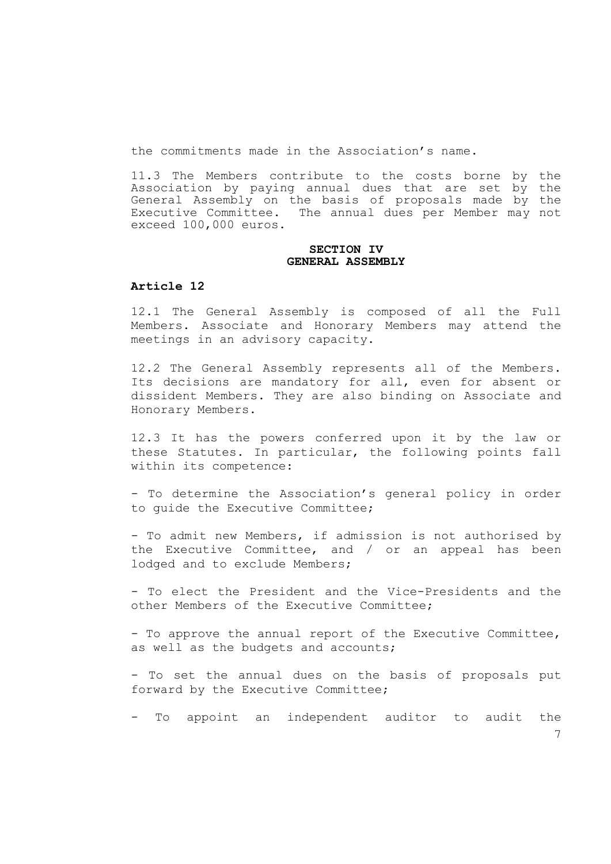the commitments made in the Association's name.

11.3 The Members contribute to the costs borne by the Association by paying annual dues that are set by the General Assembly on the basis of proposals made by the Executive Committee. The annual dues per Member may not exceed 100,000 euros.

## **SECTION IV GENERAL ASSEMBLY**

# **Article 12**

12.1 The General Assembly is composed of all the Full Members. Associate and Honorary Members may attend the meetings in an advisory capacity.

12.2 The General Assembly represents all of the Members. Its decisions are mandatory for all, even for absent or dissident Members. They are also binding on Associate and Honorary Members.

12.3 It has the powers conferred upon it by the law or these Statutes. In particular, the following points fall within its competence:

- To determine the Association's general policy in order to guide the Executive Committee;

- To admit new Members, if admission is not authorised by the Executive Committee, and / or an appeal has been lodged and to exclude Members;

- To elect the President and the Vice-Presidents and the other Members of the Executive Committee;

- To approve the annual report of the Executive Committee, as well as the budgets and accounts;

- To set the annual dues on the basis of proposals put forward by the Executive Committee;

- To appoint an independent auditor to audit the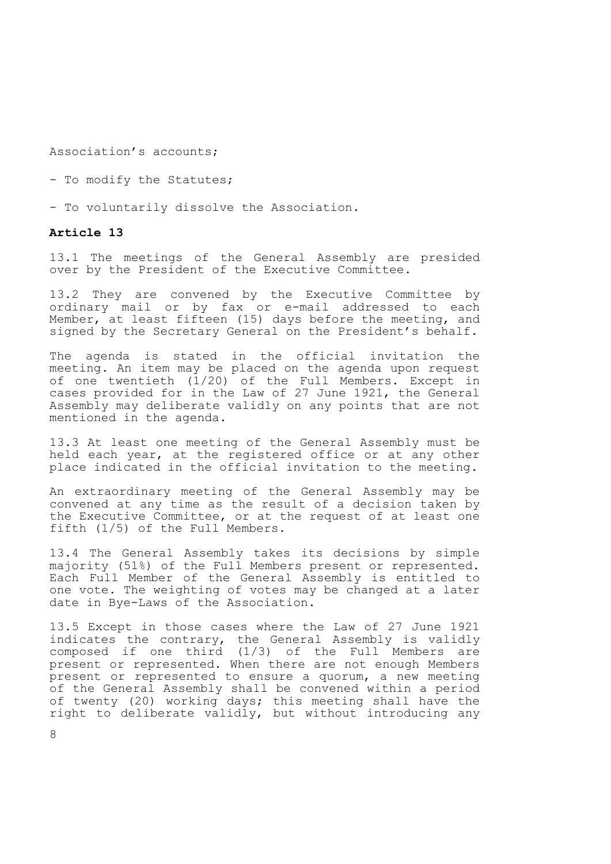Association's accounts;

- To modify the Statutes;
- To voluntarily dissolve the Association.

## **Article 13**

13.1 The meetings of the General Assembly are presided over by the President of the Executive Committee.

13.2 They are convened by the Executive Committee by ordinary mail or by fax or e-mail addressed to each Member, at least fifteen (15) days before the meeting, and signed by the Secretary General on the President's behalf.

The agenda is stated in the official invitation the meeting. An item may be placed on the agenda upon request of one twentieth (1/20) of the Full Members. Except in cases provided for in the Law of 27 June 1921, the General Assembly may deliberate validly on any points that are not mentioned in the agenda.

13.3 At least one meeting of the General Assembly must be held each year, at the registered office or at any other place indicated in the official invitation to the meeting.

An extraordinary meeting of the General Assembly may be convened at any time as the result of a decision taken by the Executive Committee, or at the request of at least one fifth (1/5) of the Full Members.

13.4 The General Assembly takes its decisions by simple majority (51%) of the Full Members present or represented. Each Full Member of the General Assembly is entitled to one vote. The weighting of votes may be changed at a later date in Bye-Laws of the Association.

13.5 Except in those cases where the Law of 27 June 1921 indicates the contrary, the General Assembly is validly composed if one third (1/3) of the Full Members are present or represented. When there are not enough Members present or represented to ensure a quorum, a new meeting of the General Assembly shall be convened within a period of twenty (20) working days; this meeting shall have the right to deliberate validly, but without introducing any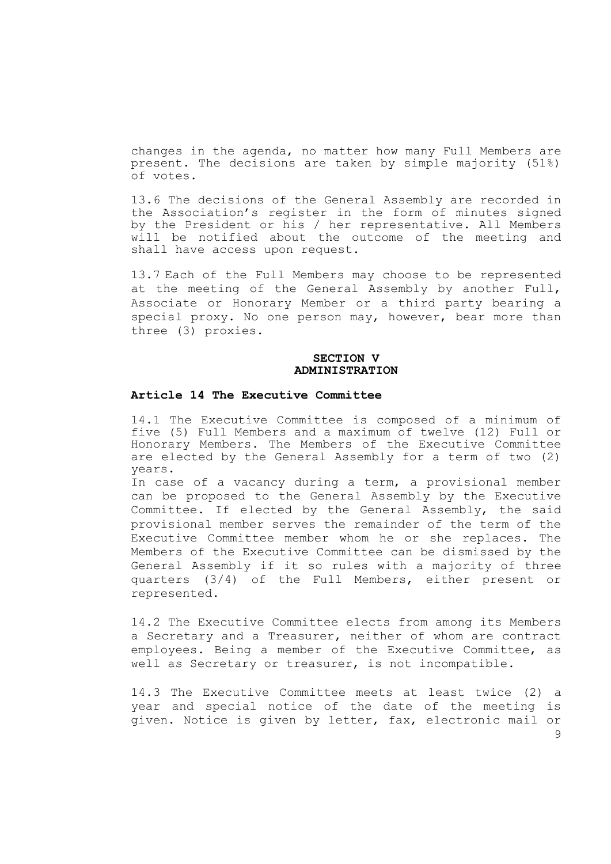changes in the agenda, no matter how many Full Members are present. The decisions are taken by simple majority (51%) of votes.

13.6 The decisions of the General Assembly are recorded in the Association's register in the form of minutes signed by the President or his / her representative. All Members will be notified about the outcome of the meeting and shall have access upon request.

13.7 Each of the Full Members may choose to be represented at the meeting of the General Assembly by another Full, Associate or Honorary Member or a third party bearing a special proxy. No one person may, however, bear more than three (3) proxies.

## **SECTION V ADMINISTRATION**

#### **Article 14 The Executive Committee**

14.1 The Executive Committee is composed of a minimum of five (5) Full Members and a maximum of twelve (12) Full or Honorary Members. The Members of the Executive Committee are elected by the General Assembly for a term of two (2) years.

In case of a vacancy during a term, a provisional member can be proposed to the General Assembly by the Executive Committee. If elected by the General Assembly, the said provisional member serves the remainder of the term of the Executive Committee member whom he or she replaces. The Members of the Executive Committee can be dismissed by the General Assembly if it so rules with a majority of three quarters (3/4) of the Full Members, either present or represented.

14.2 The Executive Committee elects from among its Members a Secretary and a Treasurer, neither of whom are contract employees. Being a member of the Executive Committee, as well as Secretary or treasurer, is not incompatible.

14.3 The Executive Committee meets at least twice (2) a year and special notice of the date of the meeting is given. Notice is given by letter, fax, electronic mail or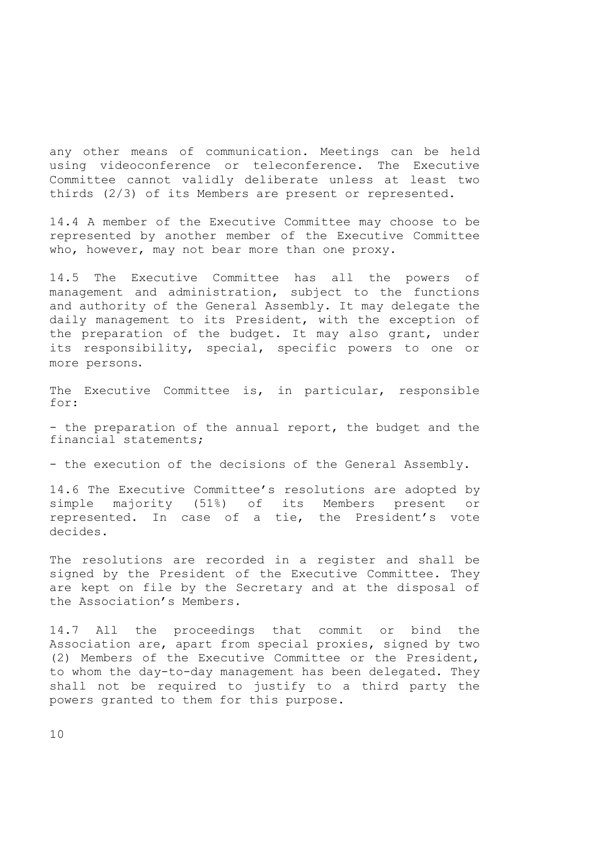any other means of communication. Meetings can be held using videoconference or teleconference. The Executive Committee cannot validly deliberate unless at least two thirds (2/3) of its Members are present or represented.

14.4 A member of the Executive Committee may choose to be represented by another member of the Executive Committee who, however, may not bear more than one proxy.

14.5 The Executive Committee has all the powers of management and administration, subject to the functions and authority of the General Assembly. It may delegate the daily management to its President, with the exception of the preparation of the budget. It may also grant, under its responsibility, special, specific powers to one or more persons.

The Executive Committee is, in particular, responsible for:

- the preparation of the annual report, the budget and the financial statements;

- the execution of the decisions of the General Assembly.

14.6 The Executive Committee's resolutions are adopted by simple majority (51%) of its Members present or represented. In case of a tie, the President's vote decides.

The resolutions are recorded in a register and shall be signed by the President of the Executive Committee. They are kept on file by the Secretary and at the disposal of the Association's Members.

14.7 All the proceedings that commit or bind the Association are, apart from special proxies, signed by two (2) Members of the Executive Committee or the President, to whom the day-to-day management has been delegated. They shall not be required to justify to a third party the powers granted to them for this purpose.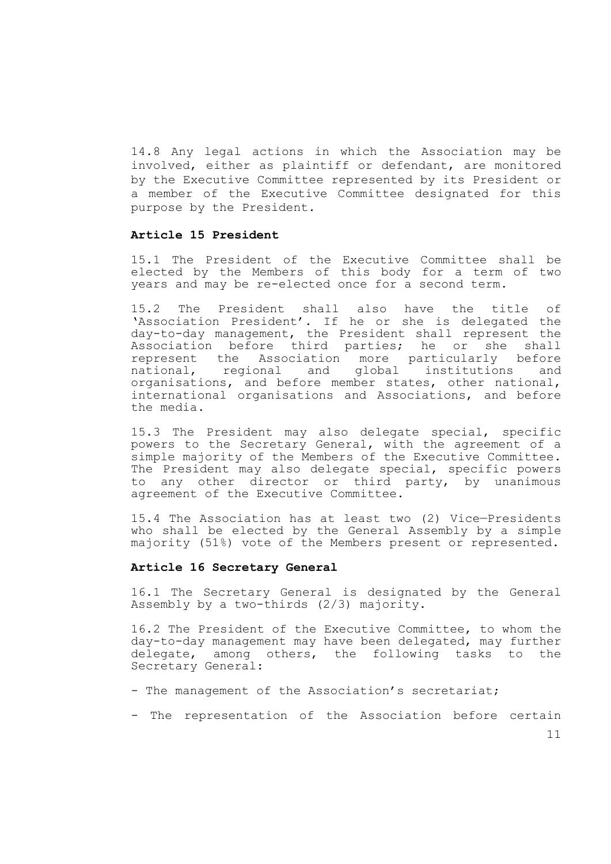14.8 Any legal actions in which the Association may be involved, either as plaintiff or defendant, are monitored by the Executive Committee represented by its President or a member of the Executive Committee designated for this purpose by the President.

# **Article 15 President**

15.1 The President of the Executive Committee shall be elected by the Members of this body for a term of two years and may be re-elected once for a second term.

15.2 The President shall also have the title of 'Association President'. If he or she is delegated the day-to-day management, the President shall represent the Association before third parties; he or she shall represent the Association more particularly before national, regional and global institutions and organisations, and before member states, other national, international organisations and Associations, and before the media.

15.3 The President may also delegate special, specific powers to the Secretary General, with the agreement of a simple majority of the Members of the Executive Committee. The President may also delegate special, specific powers to any other director or third party, by unanimous agreement of the Executive Committee.

15.4 The Association has at least two (2) Vice—Presidents who shall be elected by the General Assembly by a simple majority (51%) vote of the Members present or represented.

#### **Article 16 Secretary General**

16.1 The Secretary General is designated by the General Assembly by a two-thirds (2/3) majority.

16.2 The President of the Executive Committee, to whom the day-to-day management may have been delegated, may further delegate, among others, the following tasks to the Secretary General:

- The management of the Association's secretariat;
- The representation of the Association before certain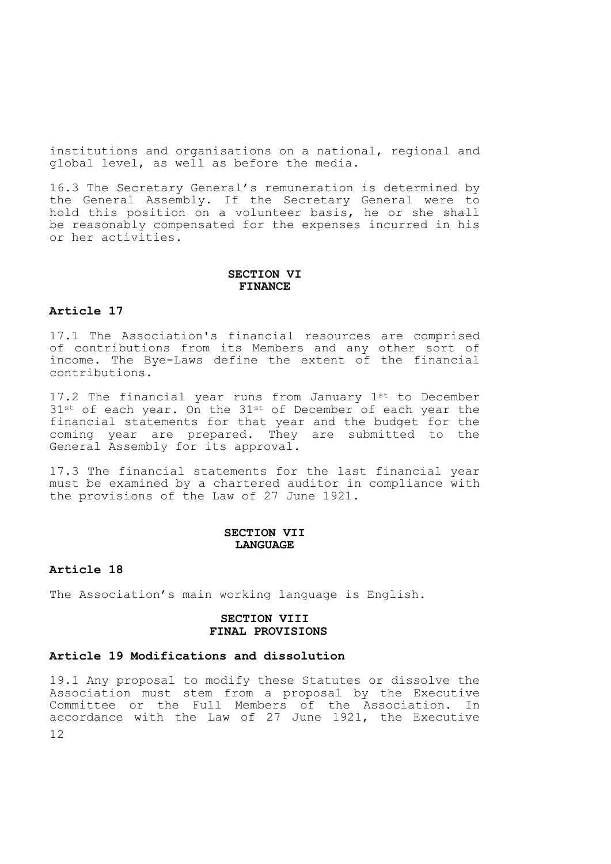institutions and organisations on a national, regional and global level, as well as before the media.

16.3 The Secretary General's remuneration is determined by the General Assembly. If the Secretary General were to hold this position on a volunteer basis, he or she shall be reasonably compensated for the expenses incurred in his or her activities.

## **SECTION VI FINANCE**

## **Article 17**

17.1 The Association's financial resources are comprised of contributions from its Members and any other sort of income. The Bye-Laws define the extent of the financial contributions.

17.2 The financial year runs from January 1st to December 31st of each year. On the 31st of December of each year the financial statements for that year and the budget for the coming year are prepared. They are submitted to the General Assembly for its approval.

17.3 The financial statements for the last financial year must be examined by a chartered auditor in compliance with the provisions of the Law of 27 June 1921.

#### **SECTION VII LANGUAGE**

#### **Article 18**

The Association's main working language is English.

#### **SECTION VIII FINAL PROVISIONS**

# **Article 19 Modifications and dissolution**

12 19.1 Any proposal to modify these Statutes or dissolve the Association must stem from a proposal by the Executive Committee or the Full Members of the Association. In accordance with the Law of 27 June 1921, the Executive